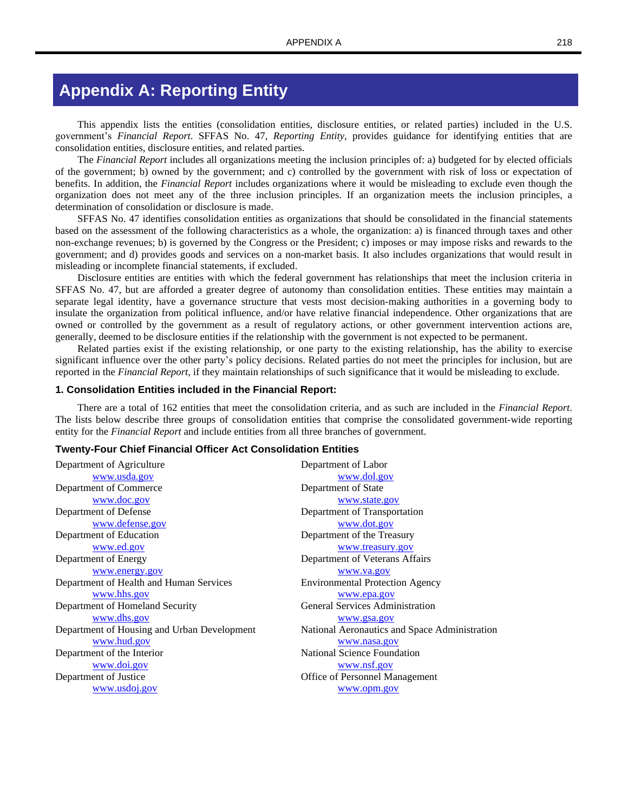# **Appendix A: Reporting Entity**

This appendix lists the entities (consolidation entities, disclosure entities, or related parties) included in the U.S. government's *Financial Report*. SFFAS No. 47, *Reporting Entity*, provides guidance for identifying entities that are consolidation entities, disclosure entities, and related parties.

The *Financial Report* includes all organizations meeting the inclusion principles of: a) budgeted for by elected officials of the government; b) owned by the government; and c) controlled by the government with risk of loss or expectation of benefits. In addition, the *Financial Report* includes organizations where it would be misleading to exclude even though the organization does not meet any of the three inclusion principles. If an organization meets the inclusion principles, a determination of consolidation or disclosure is made.

SFFAS No. 47 identifies consolidation entities as organizations that should be consolidated in the financial statements based on the assessment of the following characteristics as a whole, the organization: a) is financed through taxes and other non-exchange revenues; b) is governed by the Congress or the President; c) imposes or may impose risks and rewards to the government; and d) provides goods and services on a non-market basis. It also includes organizations that would result in misleading or incomplete financial statements, if excluded.

Disclosure entities are entities with which the federal government has relationships that meet the inclusion criteria in SFFAS No. 47, but are afforded a greater degree of autonomy than consolidation entities. These entities may maintain a separate legal identity, have a governance structure that vests most decision-making authorities in a governing body to insulate the organization from political influence, and/or have relative financial independence. Other organizations that are owned or controlled by the government as a result of regulatory actions, or other government intervention actions are, generally, deemed to be disclosure entities if the relationship with the government is not expected to be permanent.

Related parties exist if the existing relationship, or one party to the existing relationship, has the ability to exercise significant influence over the other party's policy decisions. Related parties do not meet the principles for inclusion, but are reported in the *Financial Report*, if they maintain relationships of such significance that it would be misleading to exclude.

### **1. Consolidation Entities included in the Financial Report:**

There are a total of 162 entities that meet the consolidation criteria, and as such are included in the *Financial Report*. The lists below describe three groups of consolidation entities that comprise the consolidated government-wide reporting entity for the *Financial Report* and include entities from all three branches of government.

### **Twenty-Four Chief Financial Officer Act Consolidation Entities**

Department of Agriculture [www.usda.gov](http://www.usda.gov/) Department of Labor [www.dol.gov](http://www.dol.gov/) Department of Commerce [www.doc.gov](http://www.doc.gov/) Department of State [www.state.gov](http://www.state.gov/) Department of Defense [www.defense.gov](http://www.defense.gov/) Department of Transportation [www.dot.gov](http://www.dot.gov/) Department of Education [www.ed.gov](http://www.ed.gov/) Department of the Treasury [www.treasury.gov](http://www.treasury.gov/) Department of Energy [www.energy.gov](http://www.energy.gov/) Department of Veterans Affairs [www.va.gov](http://www.va.gov/) Department of Health and Human Services [www.hhs.gov](http://www.hhs.gov/) Environmental Protection Agency [www.epa.gov](http://www.epa.gov/) Department of Homeland Security [www.dhs.gov](http://www.dhs.gov/) General Services Administration [www.gsa.gov](http://www.gsa.gov/) Department of Housing and Urban Development [www.hud.gov](http://www.hud.gov/) National Aeronautics and Space Administration [www.nasa.gov](http://www.nasa.gov/) Department of the Interior [www.doi.gov](http://www.doi.gov/) National Science Foundation [www.nsf.gov](http://www.nsf.gov/) Department of Justice [www.usdoj.gov](http://www.usdoj.gov/) Office of Personnel Management [www.opm.gov](http://www.opm.gov/)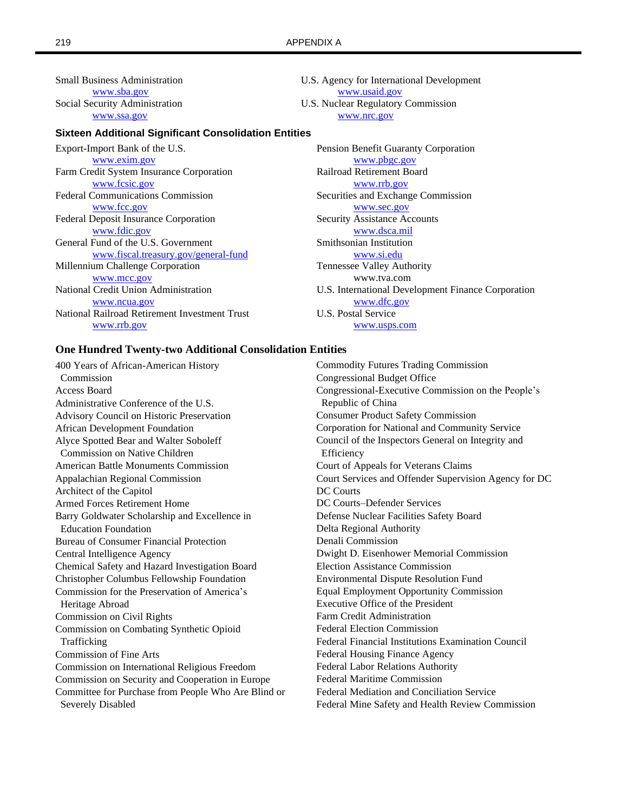Small Business Administration [www.sba.gov](http://www.sba.gov/) Social Security Administration [www.ssa.gov](http://www.ssa.gov/)

### **Sixteen Additional Significant Consolidation Entities**

Export-Import Bank of the U.S. [www.exim.gov](http://www.exim.gov/) Farm Credit System Insurance Corporation [www.fcsic.gov](http://www.fcsic.gov/) Federal Communications Commission [www.fcc.gov](http://www.fcc.gov/) Federal Deposit Insurance Corporation [www.fdic.gov](http://www.fdic.gov/) General Fund of the U.S. Government [www.fiscal.treasury.gov/general-fund](http://www.fiscal.treasury.gov/general-fund) Millennium Challenge Corporation [www.mcc.gov](http://www.mcc.gov/) National Credit Union Administration [www.ncua.gov](http://www.ncua.gov/) National Railroad Retirement Investment Trust [www.rrb.gov](https://rrb.gov/FinancialReporting/NRRIT)

U.S. Agency for International Development [www.usaid.gov](http://www.usaid.gov/) U.S. Nuclear Regulatory Commission [www.nrc.gov](http://www.nrc.gov/)

Pension Benefit Guaranty Corporation [www.pbgc.gov](http://www.pbgc.gov/) Railroad Retirement Board [www.rrb.gov](https://rrb.gov/) Securities and Exchange Commission [www.sec.gov](http://www.sec.gov/) Security Assistance Accounts [www.dsca.mil](http://www.dsca.mil/) Smithsonian Institution [www.si.edu](http://www.si.edu/) Tennessee Valley Authority www.tva.com U.S. International Development Finance Corporation [www.dfc.gov](https://www.dfc.gov/) U.S. Postal Service [www.usps.com](http://www.usps.com/)

## **One Hundred Twenty-two Additional Consolidation Entities**

400 Years of African-American History Commodity Futures Trading Commission Commission Congressional Budget Office Administrative Conference of the U.S. Republic of China Advisory Council on Historic Preservation Consumer Product Safety Commission African Development Foundation Corporation for National and Community Service Alyce Spotted Bear and Walter Soboleff Council of the Inspectors General on Integrity and Commission on Native Children **Efficiency** American Battle Monuments Commission Court of Appeals for Veterans Claims Architect of the Capitol DC Courts Armed Forces Retirement Home DC Courts–Defender Services Barry Goldwater Scholarship and Excellence in Defense Nuclear Facilities Safety Board Education Foundation Delta Regional Authority Bureau of Consumer Financial Protection Denali Commission Central Intelligence Agency Dwight D. Eisenhower Memorial Commission Chemical Safety and Hazard Investigation Board Election Assistance Commission Christopher Columbus Fellowship Foundation Environmental Dispute Resolution Fund Commission for the Preservation of America's Equal Employment Opportunity Commission Heritage Abroad Executive Office of the President Commission on Civil Rights Farm Credit Administration Commission on Combating Synthetic Opioid Federal Election Commission Commission of Fine Arts **Finance Agency** Federal Housing Finance Agency Commission on International Religious Freedom Federal Labor Relations Authority Commission on Security and Cooperation in Europe Federal Maritime Commission Committee for Purchase from People Who Are Blind or Federal Mediation and Conciliation Service

Access Board Congressional-Executive Commission on the People's Appalachian Regional Commission Court Services and Offender Supervision Agency for DC Trafficking Federal Financial Institutions Examination Council Severely Disabled Federal Mine Safety and Health Review Commission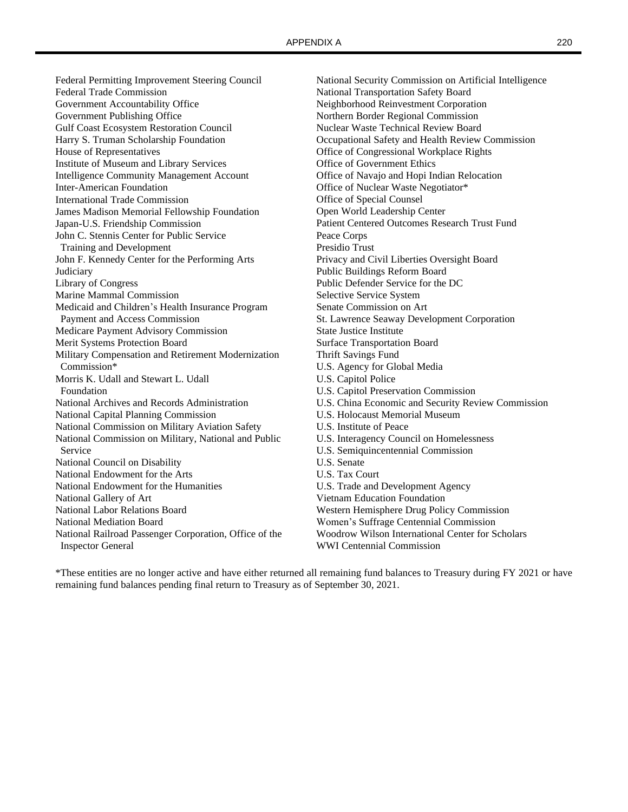Federal Permitting Improvement Steering Council National Security Commission on Artificial Intelligence Federal Trade Commission National Transportation Safety Board Government Accountability Office Neighborhood Reinvestment Corporation Government Publishing Office Northern Border Regional Commission Gulf Coast Ecosystem Restoration Council Nuclear Waste Technical Review Board Harry S. Truman Scholarship Foundation Occupational Safety and Health Review Commission House of Representatives Office of Congressional Workplace Rights Institute of Museum and Library Services Office of Government Ethics Intelligence Community Management Account Office of Navajo and Hopi Indian Relocation Inter-American Foundation **Inter-American Foundation Office of Nuclear Waste Negotiator**\* International Trade Commission **Office of Special Counsel** James Madison Memorial Fellowship Foundation Open World Leadership Center Japan-U.S. Friendship Commission Patient Centered Outcomes Research Trust Fund John C. Stennis Center for Public Service Peace Corps Training and Development Presidio Trust John F. Kennedy Center for the Performing Arts Privacy and Civil Liberties Oversight Board Judiciary Public Buildings Reform Board Library of Congress Public Defender Service for the DC Marine Mammal Commission Selective Service System Medicaid and Children's Health Insurance Program Senate Commission on Art Payment and Access Commission St. Lawrence Seaway Development Corporation Medicare Payment Advisory Commission State Justice Institute Merit Systems Protection Board Surface Transportation Board Surface Transportation Board Military Compensation and Retirement Modernization Thrift Savings Fund Commission\* U.S. Agency for Global Media Morris K. Udall and Stewart L. Udall U.S. Capitol Police Foundation U.S. Capitol Preservation Commission National Capital Planning Commission U.S. Holocaust Memorial Museum National Commission on Military Aviation Safety U.S. Institute of Peace National Commission on Military, National and Public U.S. Interagency Council on Homelessness Service U.S. Semiquincentennial Commission National Council on Disability U.S. Senate National Endowment for the Arts U.S. Tax Court National Endowment for the Humanities U.S. Trade and Development Agency National Gallery of Art Vietnam Education Foundation National Labor Relations Board Western Hemisphere Drug Policy Commission National Mediation Board Women's Suffrage Centennial Commission National Railroad Passenger Corporation, Office of the Woodrow Wilson International Center for Scholars Inspector General WWI Centennial Commission

National Archives and Records Administration U.S. China Economic and Security Review Commission

\*These entities are no longer active and have either returned all remaining fund balances to Treasury during FY 2021 or have remaining fund balances pending final return to Treasury as of September 30, 2021.